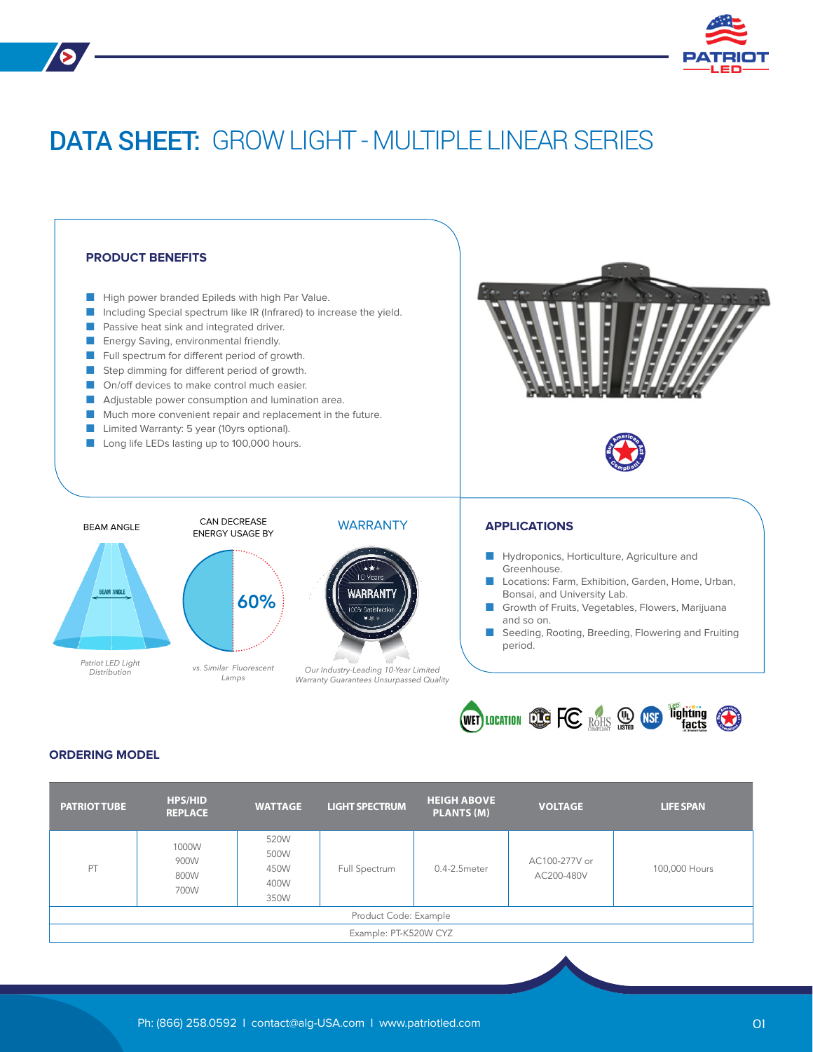

# DATA SHEET: GROW LIGHT - MULTIPLE LINEAR SERIES



# **ORDERING MODEL**

| <b>PATRIOT TUBE</b>   | <b>HPS/HID</b><br><b>REPLACE</b> | <b>WATTAGE</b>                       | <b>LIGHT SPECTRUM</b> | <b>HEIGH ABOVE</b><br>PLANTS (M) | <b>VOLTAGE</b>              | <b>LIFE SPAN</b> |  |
|-----------------------|----------------------------------|--------------------------------------|-----------------------|----------------------------------|-----------------------------|------------------|--|
| PT                    | 1000W<br>900W<br>800W<br>700W    | 520W<br>500W<br>450W<br>400W<br>350W | Full Spectrum         | 0.4-2.5meter                     | AC100-277V or<br>AC200-480V | 100,000 Hours    |  |
| Product Code: Example |                                  |                                      |                       |                                  |                             |                  |  |
| Example: PT-K520W CYZ |                                  |                                      |                       |                                  |                             |                  |  |
|                       |                                  |                                      |                       |                                  |                             |                  |  |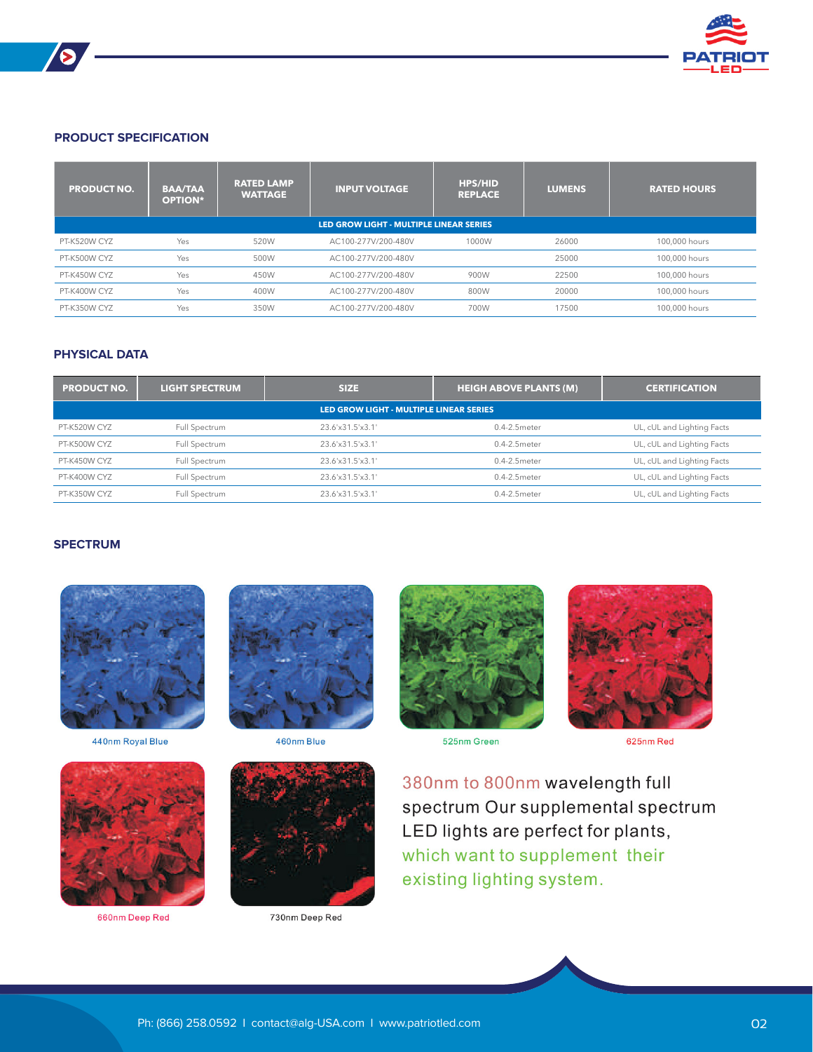

# **PRODUCT SPECIFICATION**

 $\blacktriangleright$ 

| <b>PRODUCT NO.</b>                      | <b>BAA/TAA</b><br><b>OPTION*</b> | <b>RATED LAMP</b><br><b>WATTAGE</b> | <b>INPUT VOLTAGE</b> | <b>HPS/HID.</b><br><b>REPLACE</b> | <b>LUMENS</b> | <b>RATED HOURS</b> |  |
|-----------------------------------------|----------------------------------|-------------------------------------|----------------------|-----------------------------------|---------------|--------------------|--|
| LED GROW LIGHT - MULTIPLE LINEAR SERIES |                                  |                                     |                      |                                   |               |                    |  |
| PT-K520W CYZ                            | Yes                              | 520W                                | AC100-277V/200-480V  | 1000W                             | 26000         | 100,000 hours      |  |
| PT-K500W CYZ                            | Yes                              | 500W                                | AC100-277V/200-480V  |                                   | 25000         | 100,000 hours      |  |
| PT-K450W CYZ                            | Yes                              | 450W                                | AC100-277V/200-480V  | 900W                              | 22500         | 100,000 hours      |  |
| PT-K400W CYZ                            | Yes                              | 400W                                | AC100-277V/200-480V  | 800W                              | 20000         | 100,000 hours      |  |
| PT-K350W CYZ                            | Yes                              | 350W                                | AC100-277V/200-480V  | 700W                              | 17500         | 100,000 hours      |  |

# **PHYSICAL DATA**

| <b>PRODUCT NO.</b>                      | <b>LIGHT SPECTRUM</b> | <b>SIZE</b>      | <b>HEIGH ABOVE PLANTS (M)</b> | <b>CERTIFICATION</b>       |  |  |  |  |
|-----------------------------------------|-----------------------|------------------|-------------------------------|----------------------------|--|--|--|--|
| LED GROW LIGHT - MULTIPLE LINEAR SERIES |                       |                  |                               |                            |  |  |  |  |
| PT-K520W CYZ                            | Full Spectrum         | 23.6'x31.5'x3.1' | 0.4-2.5meter                  | UL, cUL and Lighting Facts |  |  |  |  |
| PT-K500W CYZ                            | Full Spectrum         | 23.6'x31.5'x3.1' | 0.4-2.5 meter                 | UL, cUL and Lighting Facts |  |  |  |  |
| PT-K450W CYZ                            | Full Spectrum         | 23.6'x31.5'x3.1' | 0.4-2.5meter                  | UL, cUL and Lighting Facts |  |  |  |  |
| PT-K400W CYZ                            | Full Spectrum         | 23.6'x31.5'x3.1' | 0.4-2.5 meter                 | UL, cUL and Lighting Facts |  |  |  |  |
| PT-K350W CYZ                            | Full Spectrum         | 23.6'x31.5'x3.1' | $0.4 - 2.5$ meter             | UL, cUL and Lighting Facts |  |  |  |  |

#### **SPECTRUM**



440nm Royal Blue



660nm Deep Red



460nm Blue



730nm Deep Red



525nm Green

625nm Red

380nm to 800nm wavelength full spectrum Our supplemental spectrum LED lights are perfect for plants, which want to supplement their existing lighting system.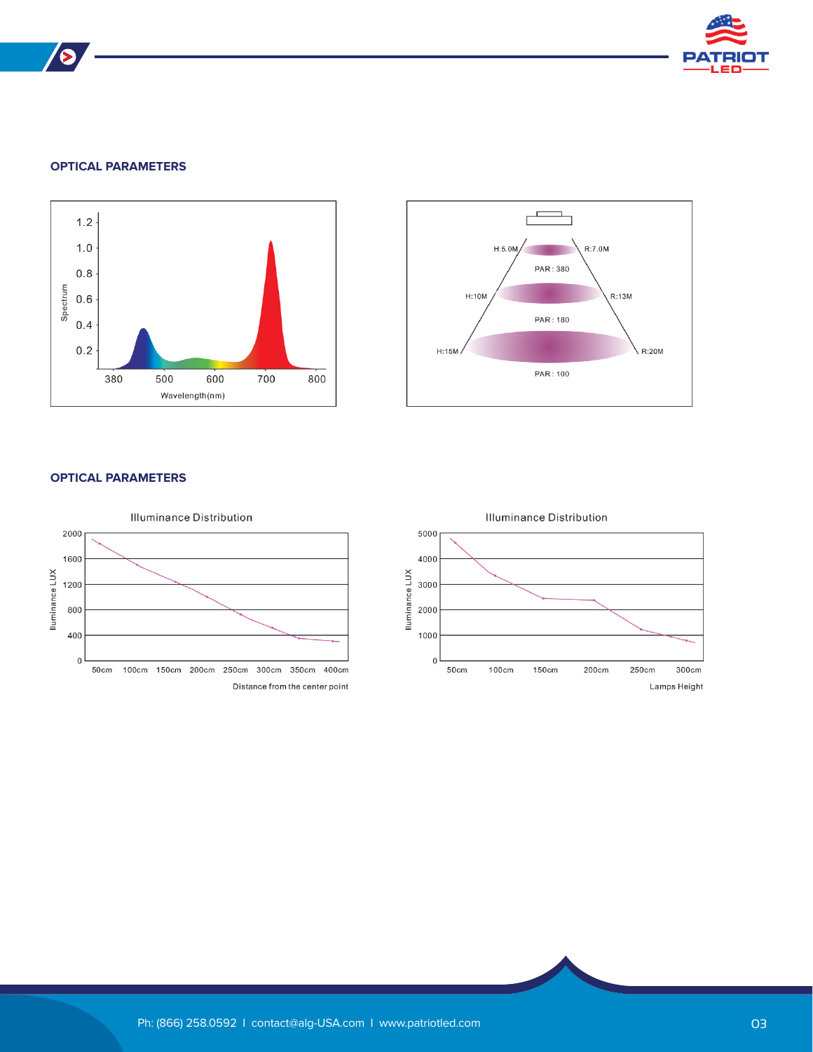

# **OPTICAL PARAMETERS**

 $\blacktriangleright$ 





## **OPTICAL PARAMETERS**